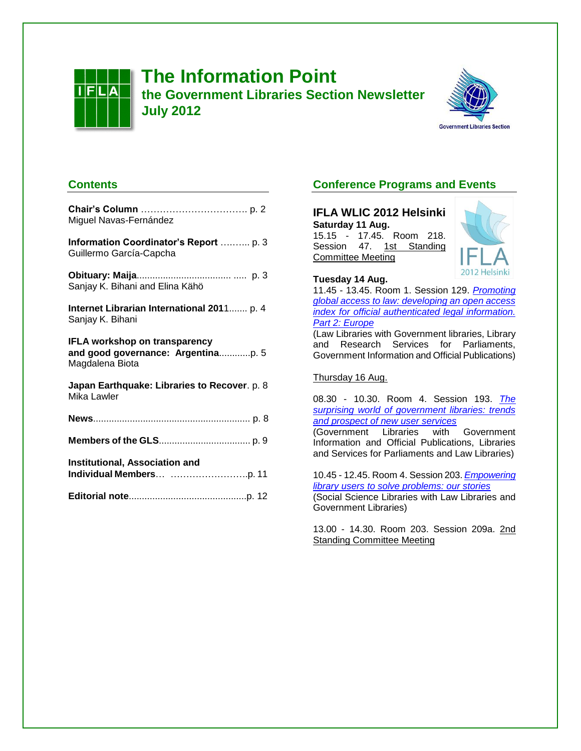

# **The Information Point**

**the Government Libraries Section Newsletter July 2012**



# **Contents**

| Miguel Navas-Fernández                                                                        |
|-----------------------------------------------------------------------------------------------|
| Information Coordinator's Report  p. 3<br>Guillermo García-Capcha                             |
| Sanjay K. Bihani and Elina Kähö                                                               |
| Internet Librarian International 2011 p. 4<br>Sanjay K. Bihani                                |
| <b>IFLA workshop on transparency</b><br>and good governance: Argentinap. 5<br>Magdalena Biota |
| Japan Earthquake: Libraries to Recover. p. 8<br>Mika Lawler                                   |
|                                                                                               |
|                                                                                               |
| <b>Institutional, Association and</b>                                                         |
|                                                                                               |

# **Conference Programs and Events**

## **IFLA WLIC 2012 Helsinki Saturday 11 Aug.**

15.15 - 17.45. Room 218. Session 47. 1st Standing Committee Meeting



# **Tuesday 14 Aug.**

11.45 - 13.45. Room 1. Session 129. *[Promoting](http://conference.ifla.org/ifla78/session-129)  [global access to law: developing an open access](http://conference.ifla.org/ifla78/session-129)  [index for official authenticated legal information.](http://conference.ifla.org/ifla78/session-129)  [Part 2: Europe](http://conference.ifla.org/ifla78/session-129)*

(Law Libraries with Government libraries, Library and Research Services for Parliaments, Government Information and Official Publications)

### Thursday 16 Aug.

08.30 - 10.30. Room 4. Session 193. *[The](http://conference.ifla.org/ifla78/session-193)  [surprising world of government libraries: trends](http://conference.ifla.org/ifla78/session-193)  [and prospect of new user services](http://conference.ifla.org/ifla78/session-193)* (Government Libraries with Government Information and Official Publications, Libraries and Services for Parliaments and Law Libraries)

10.45 - 12.45. Room 4. Session 203. *[Empowering](http://conference.ifla.org/ifla78/session-203)  [library users to solve problems: our stories](http://conference.ifla.org/ifla78/session-203)* (Social Science Libraries with Law Libraries and Government Libraries)

13.00 - 14.30. Room 203. Session 209a. 2nd Standing Committee Meeting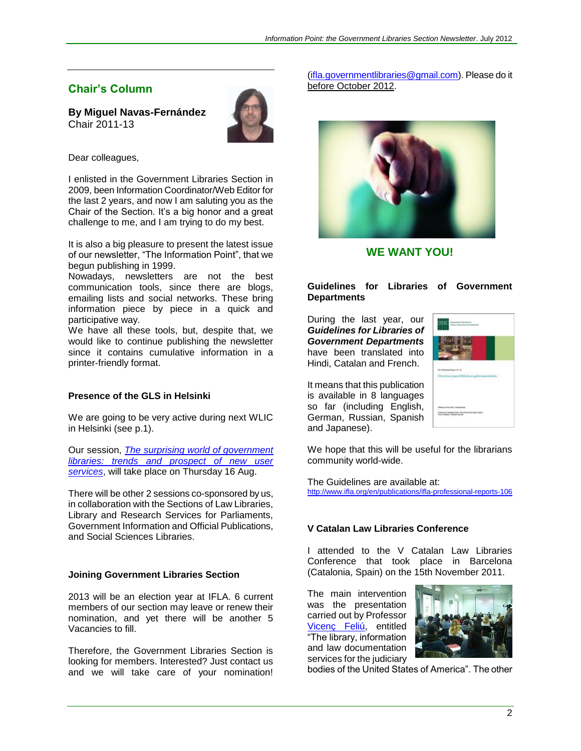# **Chair's Column**

# **By Miguel Navas-Fernández** Chair 2011-13



Dear colleagues,

I enlisted in the Government Libraries Section in 2009, been Information Coordinator/Web Editor for the last 2 years, and now I am saluting you as the Chair of the Section. It's a big honor and a great challenge to me, and I am trying to do my best.

It is also a big pleasure to present the latest issue of our newsletter, "The Information Point", that we begun publishing in 1999.

Nowadays, newsletters are not the best communication tools, since there are blogs, emailing lists and social networks. These bring information piece by piece in a quick and participative way.

We have all these tools, but, despite that, we would like to continue publishing the newsletter since it contains cumulative information in a printer-friendly format.

## **Presence of the GLS in Helsinki**

We are going to be very active during next WLIC in Helsinki (see p.1).

Our session, *[The surprising world of government](http://conference.ifla.org/ifla78/session-193)  [libraries: trends and prospect of new user](http://conference.ifla.org/ifla78/session-193)  [services](http://conference.ifla.org/ifla78/session-193)*, will take place on Thursday 16 Aug.

There will be other 2 sessions co-sponsored by us, in collaboration with the Sections of Law Libraries, Library and Research Services for Parliaments, Government Information and Official Publications, and Social Sciences Libraries.

## **Joining Government Libraries Section**

2013 will be an election year at IFLA. 6 current members of our section may leave or renew their nomination, and yet there will be another 5 Vacancies to fill.

Therefore, the Government Libraries Section is looking for members. Interested? Just contact us and we will take care of your nomination! [\(ifla.governmentlibraries@gmail.com\)](mailto:ifla.governmentlibraries@gmail.com). Please do it before October 2012.



**WE WANT YOU!**

## **Guidelines for Libraries of Government Departments**

During the last year, our *Guidelines for Libraries of Government Departments* have been translated into Hindi, Catalan and French.

It means that this publication is available in 8 languages so far (including English, German, Russian, Spanish and Japanese).



We hope that this will be useful for the librarians community world-wide.

The Guidelines are available at: <http://www.ifla.org/en/publications/ifla-professional-reports-106>

## **V Catalan Law Libraries Conference**

I attended to the V Catalan Law Libraries Conference that took place in Barcelona (Catalonia, Spain) on the 15th November 2011.

The main intervention was the presentation carried out by Professor [Vicenç Feliú,](http://www.law.udc.edu/?VFeliu) entitled "The library, information and law documentation services for the judiciary



bodies of the United States of America". The other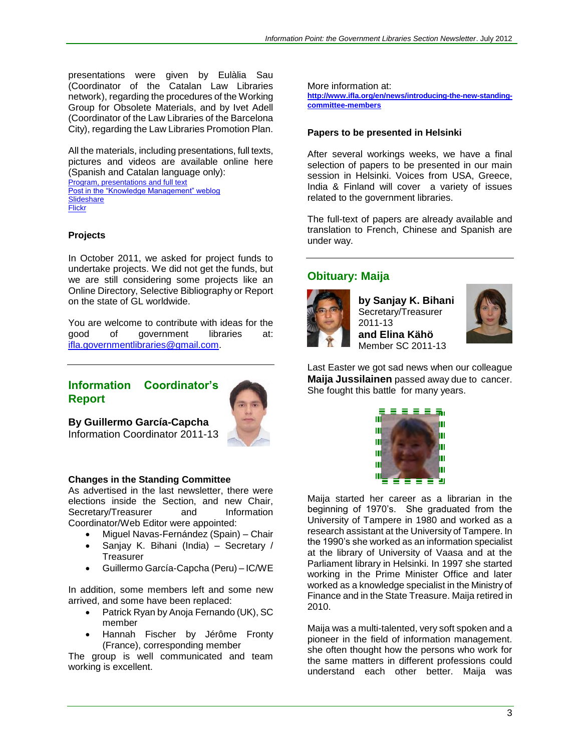presentations were given by Eulàlia Sau (Coordinator of the Catalan Law Libraries network), regarding the procedures of the Working Group for Obsolete Materials, and by Ivet Adell (Coordinator of the Law Libraries of the Barcelona City), regarding the Law Libraries Promotion Plan.

All the materials, including presentations, full texts, pictures and videos are available online here (Spanish and Catalan language only): [Program, presentations and full text](http://www20.gencat.cat/portal/site/Justicia/menuitem.6a30b1b2421bb1b6bd6b6410b0c0e1a0/?vgnextoid=b7090e7c7c193310VgnVCM1000008d0c1e0aRCRD&vgnextchannel=b7090e7c7c193310VgnVCM1000008d0c1e0aRCRD&vgnextfmt=default) [Post in the "Knowledge Management" weblog](http://blocs.gencat.cat/blocs/AppPHP/gestioconeixement/2011/11/17/v-jornada-de-biblioteques-judicials-2/) **[Slideshare](http://www.slideshare.net/justicia) [Flickr](http://www.flickr.com/search/?q=biblioteques%20judicials)** 

# **Projects**

In October 2011, we asked for project funds to undertake projects. We did not get the funds, but we are still considering some projects like an Online Directory, Selective Bibliography or Report on the state of GL worldwide.

You are welcome to contribute with ideas for the good of government libraries at: [ifla.governmentlibraries@gmail.com.](mailto:ifla.governmentlibraries@gmail.com)

# **Information Coordinator's Report**



**By Guillermo García-Capcha** Information Coordinator 2011-13

## **Changes in the Standing Committee**

As advertised in the last newsletter, there were elections inside the Section, and new Chair, Secretary/Treasurer and Information Coordinator/Web Editor were appointed:

- Miguel Navas-Fernández (Spain) Chair
- Sanjay K. Bihani (India) Secretary / **Treasurer**
- Guillermo García-Capcha (Peru) IC/WE

In addition, some members left and some new arrived, and some have been replaced:

- Patrick Ryan by Anoja Fernando (UK), SC member
- Hannah Fischer by Jérôme Fronty (France), corresponding member

The group is well communicated and team working is excellent.

More information at: **[http://www.ifla.org/en/news/introducing-the-new-standing](http://www.ifla.org/en/news/introducing-the-new-standing-committee-members)[committee-members](http://www.ifla.org/en/news/introducing-the-new-standing-committee-members)**

#### **Papers to be presented in Helsinki**

After several workings weeks, we have a final selection of papers to be presented in our main session in Helsinki. Voices from USA, Greece, India & Finland will cover a variety of issues related to the government libraries.

The full-text of papers are already available and translation to French, Chinese and Spanish are under way.

# **Obituary: Maija**



**by Sanjay K. Bihani** Secretary/Treasurer 2011-13 **and Elina Kähö** Member SC 2011-13



Last Easter we got sad news when our colleague **Maija Jussilainen** passed away due to cancer. She fought this battle for many years.



Maija started her career as a librarian in the beginning of 1970's. She graduated from the University of Tampere in 1980 and worked as a research assistant at the University of Tampere. In the 1990's she worked as an information specialist at the library of University of Vaasa and at the Parliament library in Helsinki. In 1997 she started working in the Prime Minister Office and later worked as a knowledge specialist in the Ministry of Finance and in the State Treasure. Maija retired in 2010.

Maija was a multi-talented, very soft spoken and a pioneer in the field of information management. she often thought how the persons who work for the same matters in different professions could understand each other better. Maija was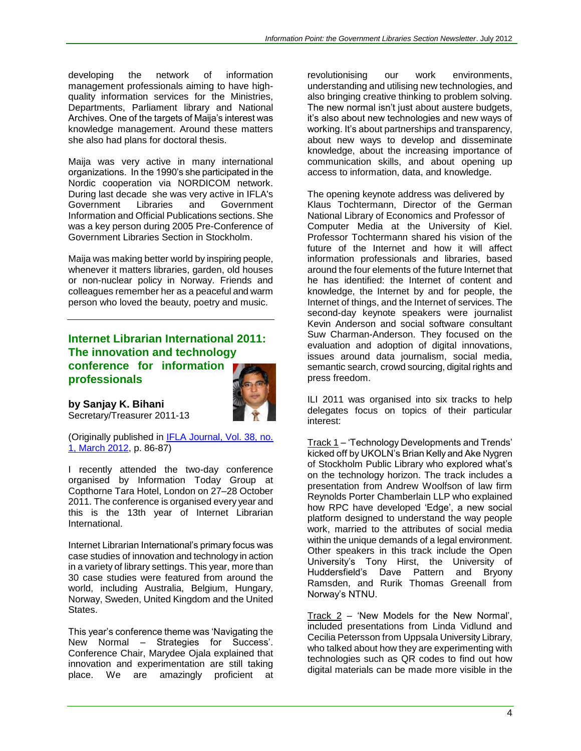developing the network of information management professionals aiming to have highquality information services for the Ministries, Departments, Parliament library and National Archives. One of the targets of Maija's interest was knowledge management. Around these matters she also had plans for doctoral thesis.

Maija was very active in many international organizations. In the 1990's she participated in the Nordic cooperation via NORDICOM network. During last decade she was very active in IFLA's Government Libraries and Government Information and Official Publications sections. She was a key person during 2005 Pre-Conference of Government Libraries Section in Stockholm.

Maija was making better world by inspiring people, whenever it matters libraries, garden, old houses or non-nuclear policy in Norway. Friends and colleagues remember her as a peaceful and warm person who loved the beauty, poetry and music.

# **Internet Librarian International 2011: The innovation and technology conference for information professionals**



**by Sanjay K. Bihani** Secretary/Treasurer 2011-13

(Originally published in **IFLA Journal**, Vol. 38, no. [1, March 2012,](http://www.ifla.org/files/hq/publications/ifla-journal/ifla-journal-38-1_2012.pdf) p. 86-87)

I recently attended the two-day conference organised by Information Today Group at Copthorne Tara Hotel, London on 27–28 October 2011. The conference is organised every year and this is the 13th year of Internet Librarian International.

Internet Librarian International's primary focus was case studies of innovation and technology in action in a variety of library settings. This year, more than 30 case studies were featured from around the world, including Australia, Belgium, Hungary, Norway, Sweden, United Kingdom and the United States.

This year's conference theme was 'Navigating the New Normal – Strategies for Success'. Conference Chair, Marydee Ojala explained that innovation and experimentation are still taking place. We are amazingly proficient at

revolutionising our work environments, understanding and utilising new technologies, and also bringing creative thinking to problem solving. The new normal isn't just about austere budgets, it's also about new technologies and new ways of working. It's about partnerships and transparency, about new ways to develop and disseminate knowledge, about the increasing importance of communication skills, and about opening up access to information, data, and knowledge.

The opening keynote address was delivered by Klaus Tochtermann, Director of the German National Library of Economics and Professor of Computer Media at the University of Kiel. Professor Tochtermann shared his vision of the future of the Internet and how it will affect information professionals and libraries, based around the four elements of the future Internet that he has identified: the Internet of content and knowledge, the Internet by and for people, the Internet of things, and the Internet of services. The second-day keynote speakers were journalist Kevin Anderson and social software consultant Suw Charman-Anderson. They focused on the evaluation and adoption of digital innovations, issues around data journalism, social media, semantic search, crowd sourcing, digital rights and press freedom.

ILI 2011 was organised into six tracks to help delegates focus on topics of their particular interest:

Track 1 – 'Technology Developments and Trends' kicked off by UKOLN's Brian Kelly and Ake Nygren of Stockholm Public Library who explored what's on the technology horizon. The track includes a presentation from Andrew Woolfson of law firm Reynolds Porter Chamberlain LLP who explained how RPC have developed 'Edge', a new social platform designed to understand the way people work, married to the attributes of social media within the unique demands of a legal environment. Other speakers in this track include the Open University's Tony Hirst, the University of Huddersfield's Dave Pattern and Bryony Ramsden, and Rurik Thomas Greenall from Norway's NTNU.

Track 2 – 'New Models for the New Normal', included presentations from Linda Vidlund and Cecilia Petersson from Uppsala University Library, who talked about how they are experimenting with technologies such as QR codes to find out how digital materials can be made more visible in the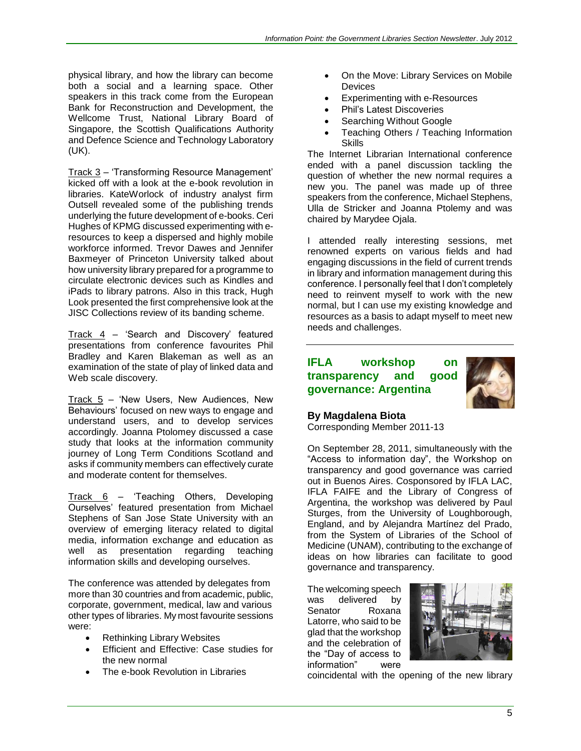physical library, and how the library can become both a social and a learning space. Other speakers in this track come from the European Bank for Reconstruction and Development, the Wellcome Trust, National Library Board of Singapore, the Scottish Qualifications Authority and Defence Science and Technology Laboratory (UK).

Track 3 – 'Transforming Resource Management' kicked off with a look at the e-book revolution in libraries. KateWorlock of industry analyst firm Outsell revealed some of the publishing trends underlying the future development of e-books. Ceri Hughes of KPMG discussed experimenting with eresources to keep a dispersed and highly mobile workforce informed. Trevor Dawes and Jennifer Baxmeyer of Princeton University talked about how university library prepared for a programme to circulate electronic devices such as Kindles and iPads to library patrons. Also in this track, Hugh Look presented the first comprehensive look at the JISC Collections review of its banding scheme.

Track 4 – 'Search and Discovery' featured presentations from conference favourites Phil Bradley and Karen Blakeman as well as an examination of the state of play of linked data and Web scale discovery.

Track 5 – 'New Users, New Audiences, New Behaviours' focused on new ways to engage and understand users, and to develop services accordingly. Joanna Ptolomey discussed a case study that looks at the information community journey of Long Term Conditions Scotland and asks if community members can effectively curate and moderate content for themselves.

Track 6 – 'Teaching Others, Developing Ourselves' featured presentation from Michael Stephens of San Jose State University with an overview of emerging literacy related to digital media, information exchange and education as well as presentation regarding teaching information skills and developing ourselves.

The conference was attended by delegates from more than 30 countries and from academic, public, corporate, government, medical, law and various other types of libraries. My most favourite sessions were:

- Rethinking Library Websites
- Efficient and Effective: Case studies for the new normal
- The e-book Revolution in Libraries
- On the Move: Library Services on Mobile **Devices**
- Experimenting with e-Resources
- Phil's Latest Discoveries
- Searching Without Google
- Teaching Others / Teaching Information Skills

The Internet Librarian International conference ended with a panel discussion tackling the question of whether the new normal requires a new you. The panel was made up of three speakers from the conference, Michael Stephens, Ulla de Stricker and Joanna Ptolemy and was chaired by Marydee Ojala.

I attended really interesting sessions, met renowned experts on various fields and had engaging discussions in the field of current trends in library and information management during this conference. I personally feel that I don't completely need to reinvent myself to work with the new normal, but I can use my existing knowledge and resources as a basis to adapt myself to meet new needs and challenges.

# **IFLA workshop on transparency and good governance: Argentina**



## **By Magdalena Biota**

Corresponding Member 2011-13

On September 28, 2011, simultaneously with the "Access to information day", the Workshop on transparency and good governance was carried out in Buenos Aires. Cosponsored by IFLA LAC, IFLA FAIFE and the Library of Congress of Argentina, the workshop was delivered by Paul Sturges, from the University of Loughborough, England, and by Alejandra Martínez del Prado, from the System of Libraries of the School of Medicine (UNAM), contributing to the exchange of ideas on how libraries can facilitate to good governance and transparency.

The welcoming speech was delivered by Senator Roxana Latorre, who said to be glad that the workshop and the celebration of the "Day of access to information" were



coincidental with the opening of the new library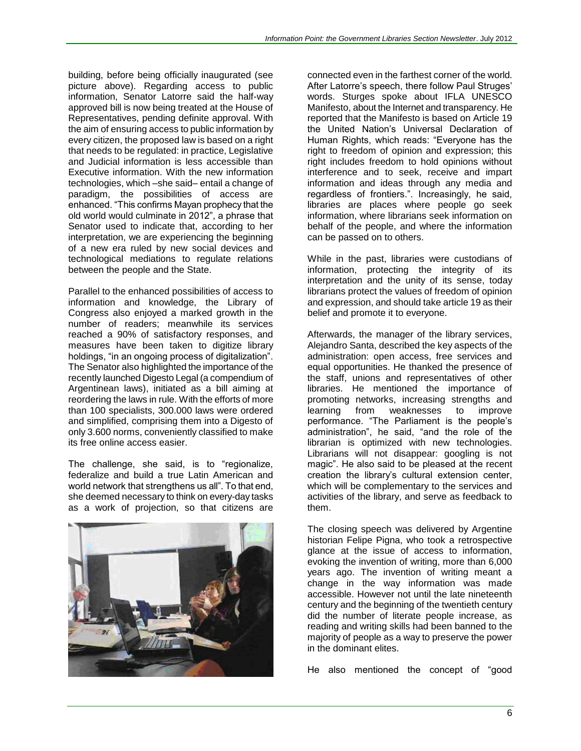building, before being officially inaugurated (see picture above). Regarding access to public information, Senator Latorre said the half-way approved bill is now being treated at the House of Representatives, pending definite approval. With the aim of ensuring access to public information by every citizen, the proposed law is based on a right that needs to be regulated: in practice, Legislative and Judicial information is less accessible than Executive information. With the new information technologies, which –she said– entail a change of paradigm, the possibilities of access are enhanced. "This confirms Mayan prophecy that the old world would culminate in 2012", a phrase that Senator used to indicate that, according to her interpretation, we are experiencing the beginning of a new era ruled by new social devices and technological mediations to regulate relations between the people and the State.

Parallel to the enhanced possibilities of access to information and knowledge, the Library of Congress also enjoyed a marked growth in the number of readers; meanwhile its services reached a 90% of satisfactory responses, and measures have been taken to digitize library holdings, "in an ongoing process of digitalization". The Senator also highlighted the importance of the recently launched Digesto Legal (a compendium of Argentinean laws), initiated as a bill aiming at reordering the laws in rule. With the efforts of more than 100 specialists, 300.000 laws were ordered and simplified, comprising them into a Digesto of only 3.600 norms, conveniently classified to make its free online access easier.

The challenge, she said, is to "regionalize, federalize and build a true Latin American and world network that strengthens us all". To that end, she deemed necessary to think on every-day tasks as a work of projection, so that citizens are



connected even in the farthest corner of the world. After Latorre's speech, there follow Paul Struges' words. Sturges spoke about IFLA UNESCO Manifesto, about the Internet and transparency. He reported that the Manifesto is based on Article 19 the United Nation's Universal Declaration of Human Rights, which reads: "Everyone has the right to freedom of opinion and expression; this right includes freedom to hold opinions without interference and to seek, receive and impart information and ideas through any media and regardless of frontiers.". Increasingly, he said, libraries are places where people go seek information, where librarians seek information on behalf of the people, and where the information can be passed on to others.

While in the past, libraries were custodians of information, protecting the integrity of its interpretation and the unity of its sense, today librarians protect the values of freedom of opinion and expression, and should take article 19 as their belief and promote it to everyone.

Afterwards, the manager of the library services, Alejandro Santa, described the key aspects of the administration: open access, free services and equal opportunities. He thanked the presence of the staff, unions and representatives of other libraries. He mentioned the importance of promoting networks, increasing strengths and learning from weaknesses to improve performance. "The Parliament is the people's administration", he said, "and the role of the librarian is optimized with new technologies. Librarians will not disappear: googling is not magic". He also said to be pleased at the recent creation the library's cultural extension center, which will be complementary to the services and activities of the library, and serve as feedback to them.

The closing speech was delivered by Argentine historian Felipe Pigna, who took a retrospective glance at the issue of access to information, evoking the invention of writing, more than 6,000 years ago. The invention of writing meant a change in the way information was made accessible. However not until the late nineteenth century and the beginning of the twentieth century did the number of literate people increase, as reading and writing skills had been banned to the majority of people as a way to preserve the power in the dominant elites.

He also mentioned the concept of "good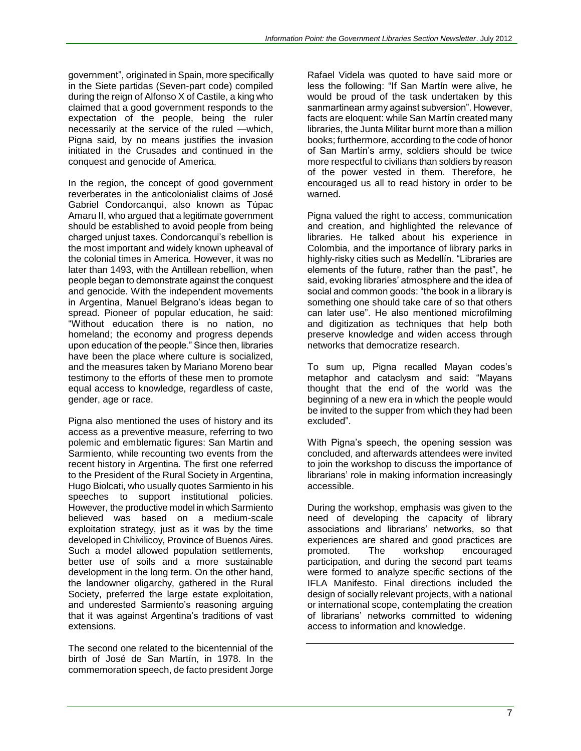government", originated in Spain, more specifically in the Siete partidas (Seven-part code) compiled during the reign of Alfonso X of Castile, a king who claimed that a good government responds to the expectation of the people, being the ruler necessarily at the service of the ruled —which, Pigna said, by no means justifies the invasion initiated in the Crusades and continued in the conquest and genocide of America.

In the region, the concept of good government reverberates in the anticolonialist claims of José Gabriel Condorcanqui, also known as Túpac Amaru II, who argued that a legitimate government should be established to avoid people from being charged unjust taxes. Condorcanqui's rebellion is the most important and widely known upheaval of the colonial times in America. However, it was no later than 1493, with the Antillean rebellion, when people began to demonstrate against the conquest and genocide. With the independent movements in Argentina, Manuel Belgrano's ideas began to spread. Pioneer of popular education, he said: "Without education there is no nation, no homeland; the economy and progress depends upon education of the people." Since then, libraries have been the place where culture is socialized, and the measures taken by Mariano Moreno bear testimony to the efforts of these men to promote equal access to knowledge, regardless of caste, gender, age or race.

Pigna also mentioned the uses of history and its access as a preventive measure, referring to two polemic and emblematic figures: San Martin and Sarmiento, while recounting two events from the recent history in Argentina. The first one referred to the President of the Rural Society in Argentina, Hugo Biolcati, who usually quotes Sarmiento in his speeches to support institutional policies. However, the productive model in which Sarmiento believed was based on a medium-scale exploitation strategy, just as it was by the time developed in Chivilicoy, Province of Buenos Aires. Such a model allowed population settlements, better use of soils and a more sustainable development in the long term. On the other hand, the landowner oligarchy, gathered in the Rural Society, preferred the large estate exploitation, and underested Sarmiento's reasoning arguing that it was against Argentina's traditions of vast extensions.

The second one related to the bicentennial of the birth of José de San Martín, in 1978. In the commemoration speech, de facto president Jorge Rafael Videla was quoted to have said more or less the following: "If San Martín were alive, he would be proud of the task undertaken by this sanmartinean army against subversion". However, facts are eloquent: while San Martín created many libraries, the Junta Militar burnt more than a million books; furthermore, according to the code of honor of San Martín's army, soldiers should be twice more respectful to civilians than soldiers by reason of the power vested in them. Therefore, he encouraged us all to read history in order to be warned.

Pigna valued the right to access, communication and creation, and highlighted the relevance of libraries. He talked about his experience in Colombia, and the importance of library parks in highly-risky cities such as Medellín. "Libraries are elements of the future, rather than the past", he said, evoking libraries' atmosphere and the idea of social and common goods: "the book in a library is something one should take care of so that others can later use". He also mentioned microfilming and digitization as techniques that help both preserve knowledge and widen access through networks that democratize research.

To sum up, Pigna recalled Mayan codes's metaphor and cataclysm and said: "Mayans thought that the end of the world was the beginning of a new era in which the people would be invited to the supper from which they had been excluded".

With Pigna's speech, the opening session was concluded, and afterwards attendees were invited to join the workshop to discuss the importance of librarians' role in making information increasingly accessible.

During the workshop, emphasis was given to the need of developing the capacity of library associations and librarians' networks, so that experiences are shared and good practices are promoted. The workshop encouraged participation, and during the second part teams were formed to analyze specific sections of the IFLA Manifesto. Final directions included the design of socially relevant projects, with a national or international scope, contemplating the creation of librarians' networks committed to widening access to information and knowledge.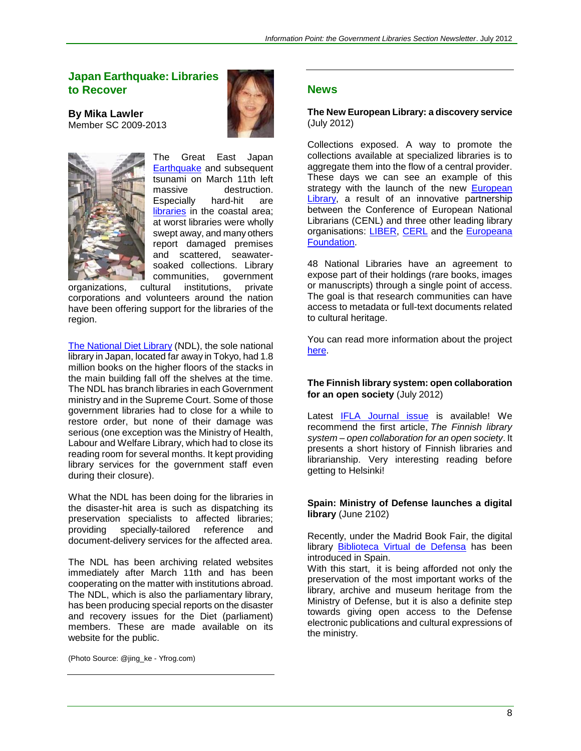**Japan Earthquake: Libraries to Recover**

**By Mika Lawler** Member SC 2009-2013





The Great East Japan [Earthquake](http://www.bbc.co.uk/news/world-asia-pacific-12709598) and subsequent tsunami on March 11th left massive destruction. Especially hard-hit are [libraries](http://www.huffingtonpost.com/2011/03/14/japan-earthquake-libraries_n_835249.html) in the coastal area; at worst libraries were wholly swept away, and many others report damaged premises and scattered, seawatersoaked collections. Library communities, government

organizations, cultural institutions, private corporations and volunteers around the nation have been offering support for the libraries of the region.

[The National Diet Library](http://www.ndl.go.jp/en/index.html) (NDL), the sole national library in Japan, located far away in Tokyo, had 1.8 million books on the higher floors of the stacks in the main building fall off the shelves at the time. The NDL has branch libraries in each Government ministry and in the Supreme Court. Some of those government libraries had to close for a while to restore order, but none of their damage was serious (one exception was the Ministry of Health, Labour and Welfare Library, which had to close its reading room for several months. It kept providing library services for the government staff even during their closure).

What the NDL has been doing for the libraries in the disaster-hit area is such as dispatching its preservation specialists to affected libraries; providing specially-tailored reference and document-delivery services for the affected area.

The NDL has been archiving related websites immediately after March 11th and has been cooperating on the matter with institutions abroad. The NDL, which is also the parliamentary library, has been producing special reports on the disaster and recovery issues for the Diet (parliament) members. These are made available on its website for the public.

(Photo Source: @jing\_ke - Yfrog.com)

# **News**

#### **The New European Library: a discovery service** (July 2012)

Collections exposed. A way to promote the collections available at specialized libraries is to aggregate them into the flow of a central provider. These days we can see an example of this strategy with the launch of the new European [Library,](http://www.theeuropeanlibrary.org/tel4/) a result of an innovative partnership between the Conference of European National Librarians (CENL) and three other leading library organisations: [LIBER,](http://www.libereurope.eu/) [CERL](http://www.cerl.org/web/en/main) and the [Europeana](http://www.europeana.eu/portal/)  [Foundation.](http://www.europeana.eu/portal/)

48 National Libraries have an agreement to expose part of their holdings (rare books, images or manuscripts) through a single point of access. The goal is that research communities can have access to metadata or full-text documents related to cultural heritage.

You can read more information about the project [here.](http://www.theeuropeanlibrary.org/confluence/download/attachments/6979655/TEL_Launch_press+release_final.pdf?version=1&modificationDate=1340619966872)

## **The Finnish library system: open collaboration for an open society** (July 2012)

Latest **[IFLA Journal issue](http://www.ifla.org/files/hq/publications/ifla-journal/ifla-journal-38-2_2012.pdf)** is available! We recommend the first article, *The Finnish library system – open collaboration for an open society*. It presents a short history of Finnish libraries and librarianship. Very interesting reading before getting to Helsinki!

## **Spain: Ministry of Defense launches a digital library** (June 2102)

Recently, under the Madrid Book Fair, the digital library [Biblioteca Virtual de Defensa](http://bibliotecavirtualdefensa.es/BVMDefensa/i18n/estaticos/contenido.cmd?pagina=estaticos/presentacion) has been introduced in Spain.

With this start, it is being afforded not only the preservation of the most important works of the library, archive and museum heritage from the Ministry of Defense, but it is also a definite step towards giving open access to the Defense electronic publications and cultural expressions of the ministry.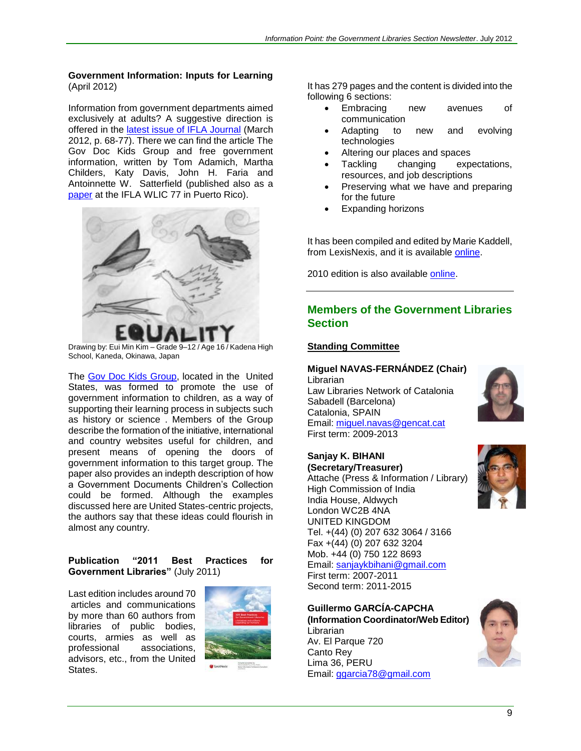### **Government Information: Inputs for Learning** (April 2012)

Information from government departments aimed exclusively at adults? A suggestive direction is offered in the [latest issue of IFLA Journal](http://www.ifla.org/files/hq/publications/ifla-journal/ifla-journal-38-1_2012.pdf) (March 2012, p. 68-77). There we can find the article The Gov Doc Kids Group and free government information, written by Tom Adamich, Martha Childers, Katy Davis, John H. Faria and Antoinnette W. Satterfield (published also as a [paper](http://conference.ifla.org/past/ifla77/124-adamich-en.pdf) at the IFLA WLIC 77 in Puerto Rico).



Drawing by: Eui Min Kim – Grade 9–12 / Age 16 / Kadena High School, Kaneda, Okinawa, Japan

The [Gov Doc Kids Group,](http://govdocs4children.pbworks.com/w/page/8811722/FrontPage) located in the United States, was formed to promote the use of government information to children, as a way of supporting their learning process in subjects such as history or science . Members of the Group describe the formation of the initiative, international and country websites useful for children, and present means of opening the doors of government information to this target group. The paper also provides an indepth description of how a Government Documents Children's Collection could be formed. Although the examples discussed here are United States-centric projects, the authors say that these ideas could flourish in almost any country.

## **Publication "2011 Best Practices for Government Libraries"** (July 2011)

Last edition includes around 70 articles and communications by more than 60 authors from libraries of public bodies, courts, armies as well as professional associations, advisors, etc., from the United States.



It has 279 pages and the content is divided into the following 6 sections:

- Embracing new avenues of communication
- Adapting to new and evolving technologies
- Altering our places and spaces
- Tackling changing expectations, resources, and job descriptions
- Preserving what we have and preparing for the future
- Expanding horizons

It has been compiled and edited by Marie Kaddell, from LexisNexis, and it is available [online.](http://www.lexisnexis.com/tsg/gov/Best_Practices/Best_Practices_2011.pdf)

2010 edition is also available [online.](http://www.lexisnexis.com/tsg/gov/Best_Practices_2010.pdf)

# **Members of the Government Libraries Section**

#### **Standing Committee**

**Sanjay K. BIHANI (Secretary/Treasurer)**

High Commission of India India House, Aldwych London WC2B 4NA UNITED KINGDOM

First term: 2007-2011 Second term: 2011-2015

## **Miguel NAVAS-FERNÁNDEZ (Chair)** Librarian

Law Libraries Network of Catalonia Sabadell (Barcelona) Catalonia, SPAIN Email: [miguel.navas@gencat.cat](mailto:miguel.navas@gencat.cat) First term: 2009-2013

Attache (Press & Information / Library)

Tel. +(44) (0) 207 632 3064 / 3166 Fax +(44) (0) 207 632 3204 Mob. +44 (0) 750 122 8693 Email: [sanjaykbihani@gmail.com](mailto:sanjaykbihani@gmail.com)



**Guillermo GARCÍA-CAPCHA (Information Coordinator/Web Editor) Librarian** Av. El Parque 720 Canto Rey Lima 36, PERU Email: [ggarcia78@gmail.com](mailto:ggarcia78@gmail.com)

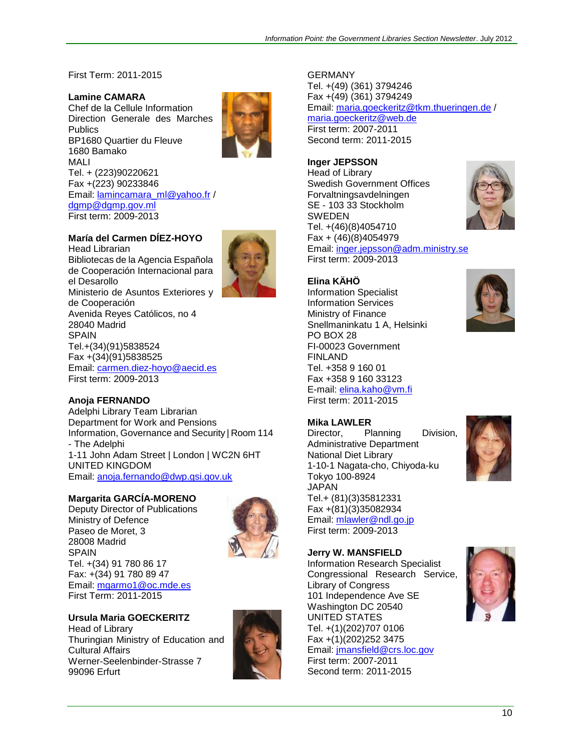First Term: 2011-2015

## **Lamine CAMARA**

Chef de la Cellule Information Direction Generale des Marches **Publics** BP1680 Quartier du Fleuve 1680 Bamako MALI Tel. + (223)90220621 Fax +(223) 90233846 Email: [lamincamara\\_ml@yahoo.fr](mailto:lamincamara_ml@yahoo.fr) / [dgmp@dgmp.gov.ml](mailto:dgmp@dgmp.gov.ml) First term: 2009-2013



# **María del Carmen DÍEZ-HOYO**

Head Librarian Bibliotecas de la Agencia Española de Cooperación Internacional para el Desarollo Ministerio de Asuntos Exteriores y de Cooperación Avenida Reyes Católicos, no 4 28040 Madrid SPAIN Tel.+(34)(91)5838524 Fax +(34)(91)5838525 Email: [carmen.diez-hoyo@aecid.es](mailto:carmen.diez-hoyo@aecid.es) First term: 2009-2013

## **Anoja FERNANDO**

Adelphi Library Team Librarian Department for Work and Pensions Information, Governance and Security | Room 114 - The Adelphi 1-11 John Adam Street | London | WC2N 6HT UNITED KINGDOM Email: [anoja.fernando@dwp.gsi.gov.uk](mailto:anoja.fernando@dwp.gsi.gov.uk)

## **Margarita GARCÍA-MORENO**

Deputy Director of Publications Ministry of Defence Paseo de Moret, 3 28008 Madrid SPAIN Tel. +(34) 91 780 86 17 Fax: +(34) 91 780 89 47 Email: [mgarmo1@oc.mde.es](mailto:mgarmo1@oc.mde.es) First Term: 2011-2015



# **Ursula Maria GOECKERITZ**

Head of Library Thuringian Ministry of Education and Cultural Affairs Werner-Seelenbinder-Strasse 7 99096 Erfurt



# GERMANY

Tel. +(49) (361) 3794246 Fax +(49) (361) 3794249 Email: [maria.goeckeritz@tkm.thueringen.de](mailto:maria.goeckeritz@tkm.thueringen.de) / [maria.goeckeritz@web.de](mailto:maria.goeckeritz@web.de) First term: 2007-2011 Second term: 2011-2015

# **Inger JEPSSON**

Head of Library Swedish Government Offices Forvaltningsavdelningen SE - 103 33 Stockholm SWEDEN Tel. +(46)(8)4054710 Fax + (46)(8)4054979 Email: [inger.jepsson@adm.ministry.se](mailto:inger.jepsson@adm.ministry.se)



First term: 2009-2013

# **Elina KÄHÖ**

Information Specialist Information Services Ministry of Finance Snellmaninkatu 1 A, Helsinki PO BOX 28 FI-00023 Government FINLAND Tel. +358 9 160 01 Fax +358 9 160 33123 E-mail: [elina.kaho@vm.fi](mailto:elina.kaho@vm.fi) First term: 2011-2015



Director, Planning Division, Administrative Department National Diet Library 1-10-1 Nagata-cho, Chiyoda-ku Tokyo 100-8924 JAPAN Tel.+ (81)(3)35812331 Fax +(81)(3)35082934 Email: [mlawler@ndl.go.jp](mailto:mlawler@ndl.go.jp) First term: 2009-2013



# **Jerry W. MANSFIELD**

Information Research Specialist Congressional Research Service, Library of Congress 101 Independence Ave SE Washington DC 20540 UNITED STATES Tel. +(1)(202)707 0106 Fax +(1)(202)252 3475

Email: [jmansfield@crs.loc.gov](mailto:jmansfield@crs.loc.gov) First term: 2007-2011 Second term: 2011-2015

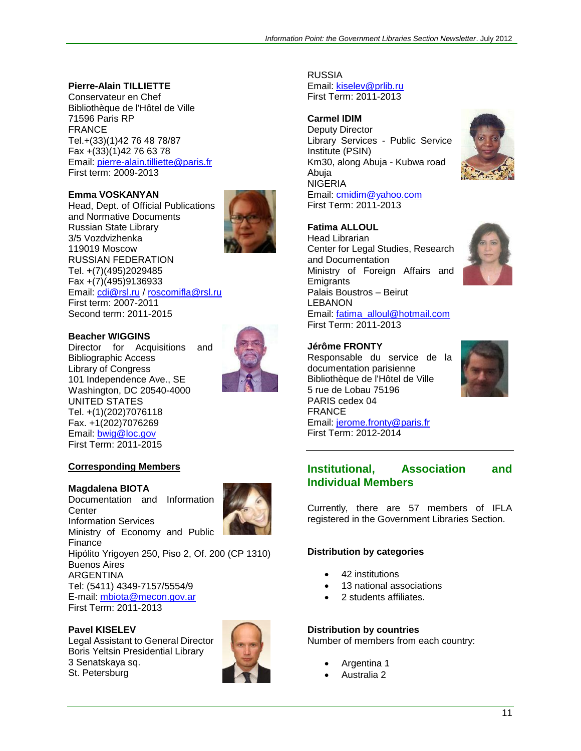## **Pierre-Alain TILLIETTE**

Conservateur en Chef Bibliothèque de l'Hôtel de Ville 71596 Paris RP FRANCE Tel.+(33)(1)42 76 48 78/87 Fax +(33)(1)42 76 63 78 Email: [pierre-alain.tilliette@paris.fr](mailto:pierre-alain.tilliette@paris.fr) First term: 2009-2013



### **Emma VOSKANYAN**

Head, Dept. of Official Publications and Normative Documents Russian State Library 3/5 Vozdvizhenka 119019 Moscow RUSSIAN FEDERATION Tel. +(7)(495)2029485 Fax +(7)(495)9136933 Email: [cdi@rsl.ru](mailto:cdi@rsl.ru) [/ roscomifla@rsl.ru](mailto:roscomifla@rsl.ru) First term: 2007-2011 Second term: 2011-2015



#### **Beacher WIGGINS**

Director for Acquisitions and Bibliographic Access Library of Congress 101 Independence Ave., SE Washington, DC 20540-4000 UNITED STATES Tel. +(1)(202)7076118 Fax. +1(202)7076269 Email: [bwig@loc.gov](mailto:bwig@loc.gov) First Term: 2011-2015

#### **Corresponding Members**

#### **Magdalena BIOTA**

Documentation and Information **Center** Information Services Ministry of Economy and Public Finance Hipólito Yrigoyen 250, Piso 2, Of. 200 (CP 1310) Buenos Aires ARGENTINA Tel: (5411) 4349-7157/5554/9 E-mail: [mbiota@mecon.gov.ar](mailto:mbiota@mecon.gov.ar)  First Term: 2011-2013

#### **Pavel KISELEV**

Legal Assistant to General Director Boris Yeltsin Presidential Library 3 Senatskaya sq. St. Petersburg



RUSSIA Email: [kiselev@prlib.ru](mailto:kiselev@prlib.ru) First Term: 2011-2013

#### **Carmel IDIM**

Deputy Director Library Services - Public Service Institute (PSIN) Km30, along Abuja - Kubwa road Abuja NIGERIA Email: [cmidim@yahoo.com](mailto:cmidim@yahoo.com) First Term: 2011-2013



#### **Fatima ALLOUL**

Head Librarian Center for Legal Studies, Research and Documentation Ministry of Foreign Affairs and **Emigrants** Palais Boustros – Beirut LEBANON Email: [fatima\\_alloul@hotmail.com](mailto:fatima_alloul@hotmail.com) First Term: 2011-2013



#### **Jérôme FRONTY**

Responsable du service de la documentation parisienne Bibliothèque de l'Hôtel de Ville 5 rue de Lobau 75196 PARIS cedex 04 FRANCE Email: [jerome.fronty@paris.fr](mailto:jerome.fronty@paris.fr) First Term: 2012-2014



# **Institutional, Association and Individual Members**

Currently, there are 57 members of IFLA registered in the Government Libraries Section.

#### **Distribution by categories**

- 42 institutions
- 13 national associations
- 2 students affiliates.

#### **Distribution by countries**

Number of members from each country:

- Argentina 1
- Australia 2